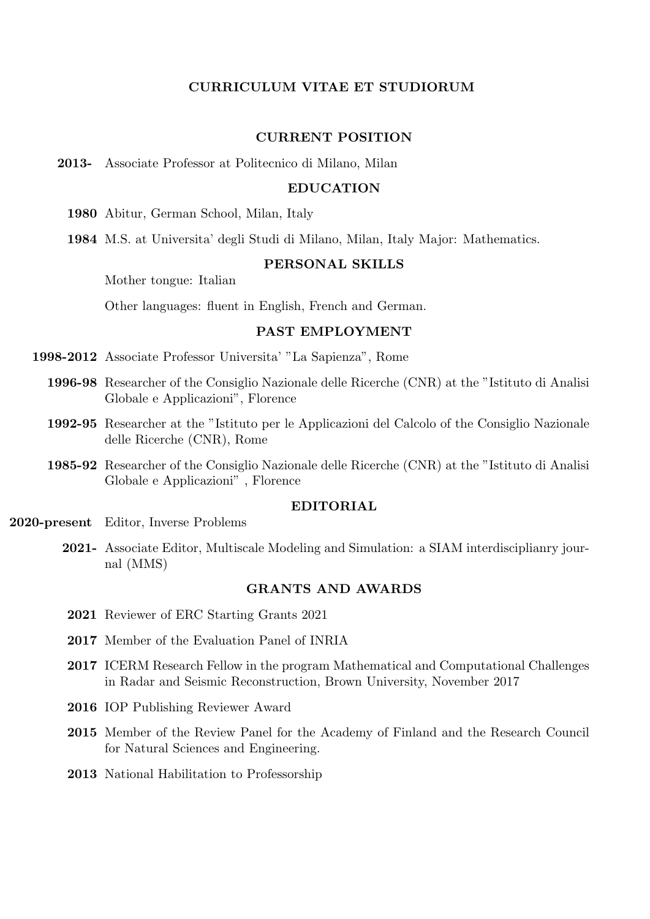# CURRICULUM VITAE ET STUDIORUM

### CURRENT POSITION

2013- Associate Professor at Politecnico di Milano, Milan

# EDUCATION

1980 Abitur, German School, Milan, Italy

1984 M.S. at Universita' degli Studi di Milano, Milan, Italy Major: Mathematics.

### PERSONAL SKILLS

Mother tongue: Italian

Other languages: fluent in English, French and German.

# PAST EMPLOYMENT

1998-2012 Associate Professor Universita' "La Sapienza", Rome

- 1996-98 Researcher of the Consiglio Nazionale delle Ricerche (CNR) at the "Istituto di Analisi Globale e Applicazioni", Florence
- 1992-95 Researcher at the "Istituto per le Applicazioni del Calcolo of the Consiglio Nazionale delle Ricerche (CNR), Rome
- 1985-92 Researcher of the Consiglio Nazionale delle Ricerche (CNR) at the "Istituto di Analisi Globale e Applicazioni" , Florence

### EDITORIAL

2020-present Editor, Inverse Problems

2021- Associate Editor, Multiscale Modeling and Simulation: a SIAM interdisciplianry journal (MMS)

#### GRANTS AND AWARDS

- 2021 Reviewer of ERC Starting Grants 2021
- 2017 Member of the Evaluation Panel of INRIA
- 2017 ICERM Research Fellow in the program Mathematical and Computational Challenges in Radar and Seismic Reconstruction, Brown University, November 2017
- 2016 IOP Publishing Reviewer Award
- 2015 Member of the Review Panel for the Academy of Finland and the Research Council for Natural Sciences and Engineering.
- 2013 National Habilitation to Professorship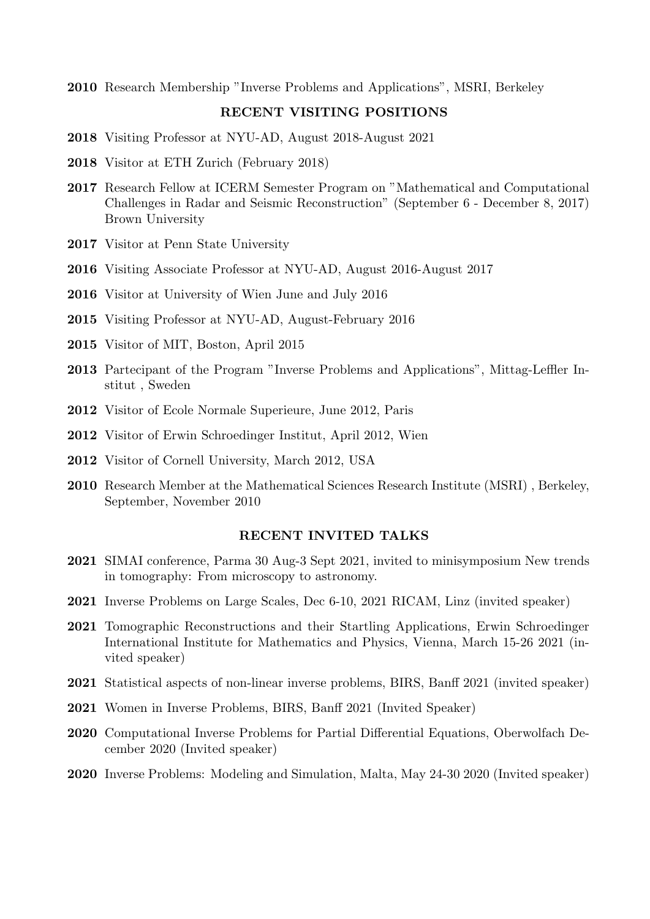Research Membership "Inverse Problems and Applications", MSRI, Berkeley

# RECENT VISITING POSITIONS

- Visiting Professor at NYU-AD, August 2018-August 2021
- Visitor at ETH Zurich (February 2018)
- Research Fellow at ICERM Semester Program on "Mathematical and Computational Challenges in Radar and Seismic Reconstruction" (September 6 - December 8, 2017) Brown University
- Visitor at Penn State University
- Visiting Associate Professor at NYU-AD, August 2016-August 2017
- Visitor at University of Wien June and July 2016
- Visiting Professor at NYU-AD, August-February 2016
- Visitor of MIT, Boston, April 2015
- Partecipant of the Program "Inverse Problems and Applications", Mittag-Leffler Institut , Sweden
- Visitor of Ecole Normale Superieure, June 2012, Paris
- Visitor of Erwin Schroedinger Institut, April 2012, Wien
- Visitor of Cornell University, March 2012, USA
- Research Member at the Mathematical Sciences Research Institute (MSRI) , Berkeley, September, November 2010

# RECENT INVITED TALKS

- SIMAI conference, Parma 30 Aug-3 Sept 2021, invited to minisymposium New trends in tomography: From microscopy to astronomy.
- Inverse Problems on Large Scales, Dec 6-10, 2021 RICAM, Linz (invited speaker)
- Tomographic Reconstructions and their Startling Applications, Erwin Schroedinger International Institute for Mathematics and Physics, Vienna, March 15-26 2021 (invited speaker)
- Statistical aspects of non-linear inverse problems, BIRS, Banff 2021 (invited speaker)
- Women in Inverse Problems, BIRS, Banff 2021 (Invited Speaker)
- Computational Inverse Problems for Partial Differential Equations, Oberwolfach December 2020 (Invited speaker)
- Inverse Problems: Modeling and Simulation, Malta, May 24-30 2020 (Invited speaker)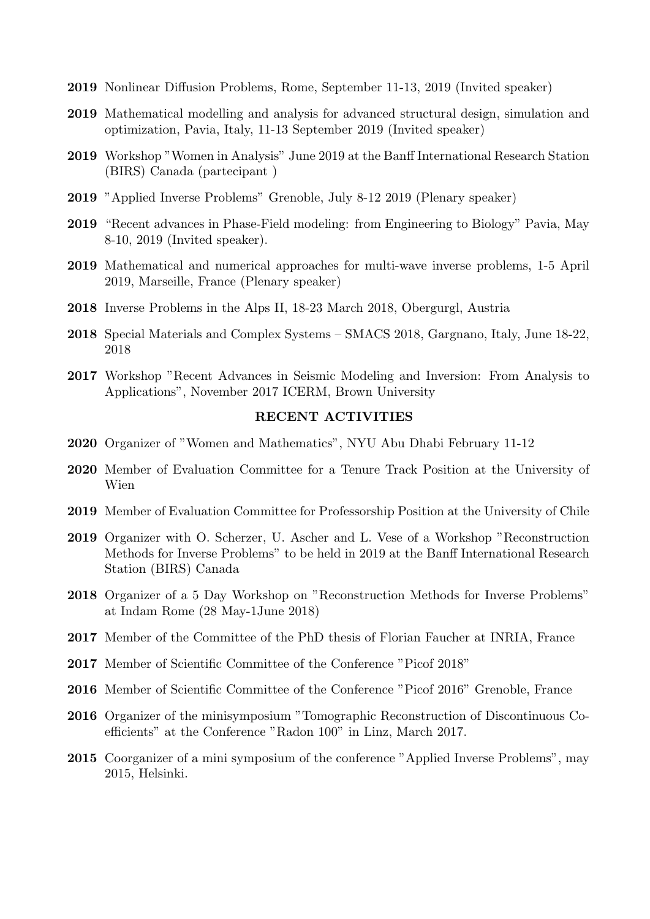- Nonlinear Diffusion Problems, Rome, September 11-13, 2019 (Invited speaker)
- Mathematical modelling and analysis for advanced structural design, simulation and optimization, Pavia, Italy, 11-13 September 2019 (Invited speaker)
- Workshop "Women in Analysis" June 2019 at the Banff International Research Station (BIRS) Canada (partecipant )
- "Applied Inverse Problems" Grenoble, July 8-12 2019 (Plenary speaker)
- "Recent advances in Phase-Field modeling: from Engineering to Biology" Pavia, May 8-10, 2019 (Invited speaker).
- Mathematical and numerical approaches for multi-wave inverse problems, 1-5 April 2019, Marseille, France (Plenary speaker)
- Inverse Problems in the Alps II, 18-23 March 2018, Obergurgl, Austria
- Special Materials and Complex Systems SMACS 2018, Gargnano, Italy, June 18-22,
- Workshop "Recent Advances in Seismic Modeling and Inversion: From Analysis to Applications", November 2017 ICERM, Brown University

# RECENT ACTIVITIES

- Organizer of "Women and Mathematics", NYU Abu Dhabi February 11-12
- Member of Evaluation Committee for a Tenure Track Position at the University of Wien
- Member of Evaluation Committee for Professorship Position at the University of Chile
- Organizer with O. Scherzer, U. Ascher and L. Vese of a Workshop "Reconstruction Methods for Inverse Problems" to be held in 2019 at the Banff International Research Station (BIRS) Canada
- Organizer of a 5 Day Workshop on "Reconstruction Methods for Inverse Problems" at Indam Rome (28 May-1June 2018)
- Member of the Committee of the PhD thesis of Florian Faucher at INRIA, France
- Member of Scientific Committee of the Conference "Picof 2018"
- Member of Scientific Committee of the Conference "Picof 2016" Grenoble, France
- Organizer of the minisymposium "Tomographic Reconstruction of Discontinuous Coefficients" at the Conference "Radon 100" in Linz, March 2017.
- Coorganizer of a mini symposium of the conference "Applied Inverse Problems", may 2015, Helsinki.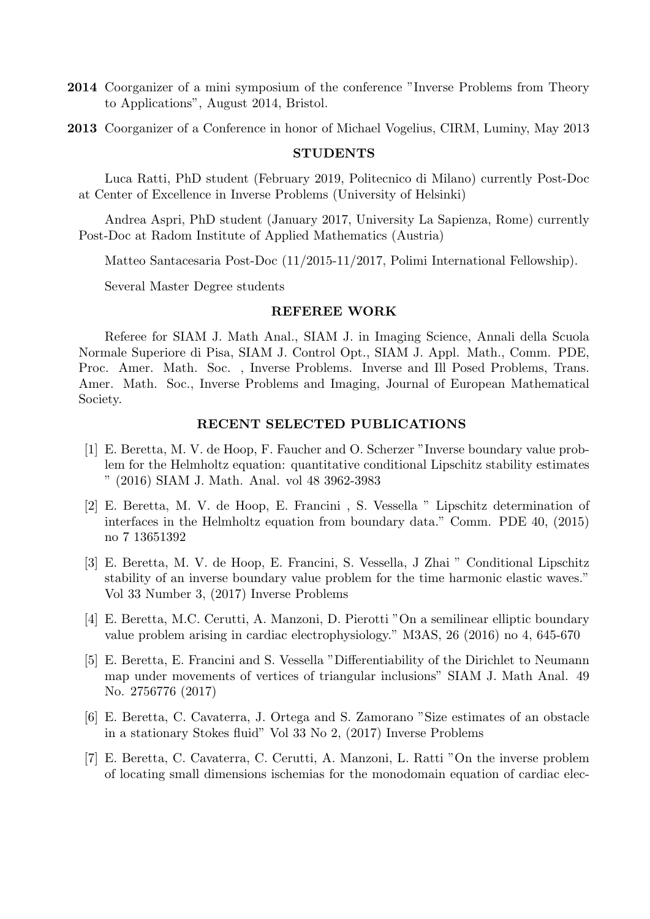- 2014 Coorganizer of a mini symposium of the conference "Inverse Problems from Theory to Applications", August 2014, Bristol.
- 2013 Coorganizer of a Conference in honor of Michael Vogelius, CIRM, Luminy, May 2013

### STUDENTS

Luca Ratti, PhD student (February 2019, Politecnico di Milano) currently Post-Doc at Center of Excellence in Inverse Problems (University of Helsinki)

Andrea Aspri, PhD student (January 2017, University La Sapienza, Rome) currently Post-Doc at Radom Institute of Applied Mathematics (Austria)

Matteo Santacesaria Post-Doc (11/2015-11/2017, Polimi International Fellowship).

Several Master Degree students

#### REFEREE WORK

Referee for SIAM J. Math Anal., SIAM J. in Imaging Science, Annali della Scuola Normale Superiore di Pisa, SIAM J. Control Opt., SIAM J. Appl. Math., Comm. PDE, Proc. Amer. Math. Soc. , Inverse Problems. Inverse and Ill Posed Problems, Trans. Amer. Math. Soc., Inverse Problems and Imaging, Journal of European Mathematical Society.

### RECENT SELECTED PUBLICATIONS

- [1] E. Beretta, M. V. de Hoop, F. Faucher and O. Scherzer "Inverse boundary value problem for the Helmholtz equation: quantitative conditional Lipschitz stability estimates " (2016) SIAM J. Math. Anal. vol 48 3962-3983
- [2] E. Beretta, M. V. de Hoop, E. Francini , S. Vessella " Lipschitz determination of interfaces in the Helmholtz equation from boundary data." Comm. PDE 40, (2015) no 7 13651392
- [3] E. Beretta, M. V. de Hoop, E. Francini, S. Vessella, J Zhai " Conditional Lipschitz stability of an inverse boundary value problem for the time harmonic elastic waves." Vol 33 Number 3, (2017) Inverse Problems
- [4] E. Beretta, M.C. Cerutti, A. Manzoni, D. Pierotti "On a semilinear elliptic boundary value problem arising in cardiac electrophysiology." M3AS, 26 (2016) no 4, 645-670
- [5] E. Beretta, E. Francini and S. Vessella "Differentiability of the Dirichlet to Neumann map under movements of vertices of triangular inclusions" SIAM J. Math Anal. 49 No. 2756776 (2017)
- [6] E. Beretta, C. Cavaterra, J. Ortega and S. Zamorano "Size estimates of an obstacle in a stationary Stokes fluid" Vol 33 No 2, (2017) Inverse Problems
- [7] E. Beretta, C. Cavaterra, C. Cerutti, A. Manzoni, L. Ratti "On the inverse problem of locating small dimensions ischemias for the monodomain equation of cardiac elec-